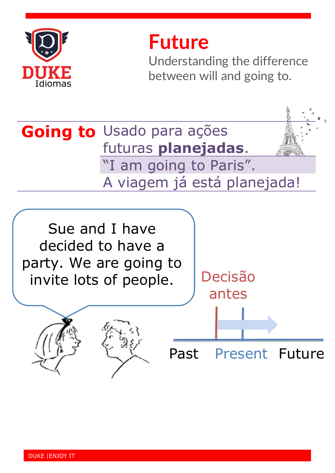

## **Future**

Understanding the difference between will and going to.

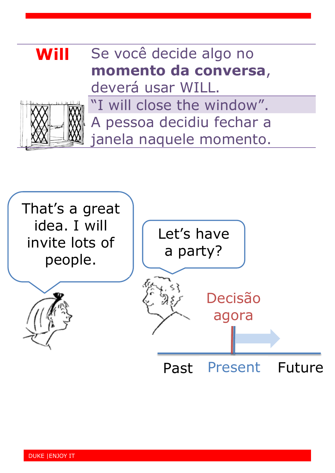## **Will** Se você decide algo no **momento da conversa**, deverá usar WILL. "I will close the window". A pessoa decidiu fechar a janela naquele momento.

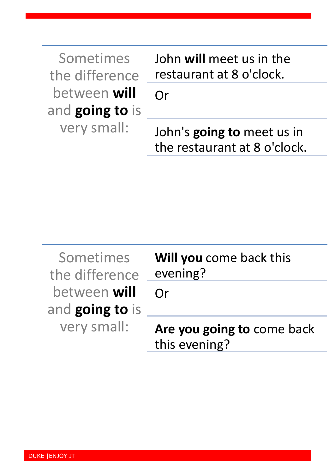| Sometimes<br>the difference     | John will meet us in the<br>restaurant at 8 o'clock.       |
|---------------------------------|------------------------------------------------------------|
| between will<br>and going to is | $\bigcap$ r                                                |
| very small:                     | John's going to meet us in<br>the restaurant at 8 o'clock. |

| Sometimes<br>the difference            | Will you come back this<br>evening?         |
|----------------------------------------|---------------------------------------------|
| between <b>will</b><br>and going to is | Or                                          |
| very small:                            | Are you going to come back<br>this evening? |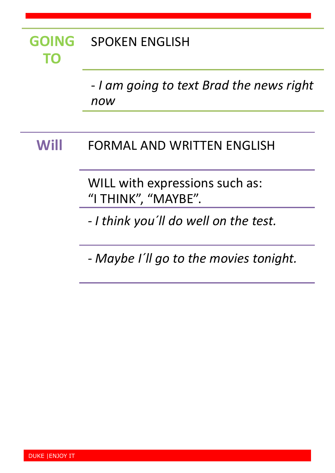### **GOING TO** SPOKEN ENGLISH

- *I am going to text Brad the news right now*

### **Will** FORMAL AND WRITTEN ENGLISH

WILL with expressions such as: "I THINK", "MAYBE".

*- I think you´ll do well on the test.*

*- Maybe I´ll go to the movies tonight.*